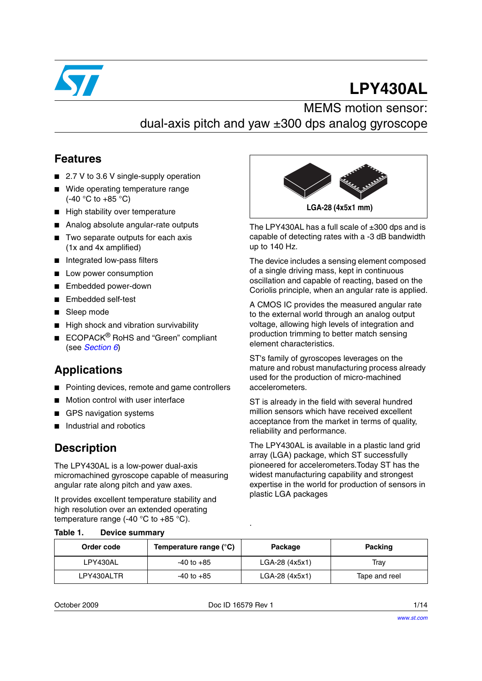

# **LPY430AL**

### MEMS motion sensor: dual-axis pitch and yaw ±300 dps analog gyroscope

#### **Features**

- 2.7 V to 3.6 V single-supply operation
- Wide operating temperature range  $(-40 °C)$  to  $+85 °C$ )
- High stability over temperature
- Analog absolute angular-rate outputs
- Two separate outputs for each axis (1x and 4x amplified)
- Integrated low-pass filters
- Low power consumption
- Embedded power-down
- Embedded self-test
- Sleep mode
- High shock and vibration survivability
- ECOPACK<sup>®</sup> RoHS and "Green" compliant (see *[Section 6](#page-11-0)*)

### **Applications**

- Pointing devices, remote and game controllers
- Motion control with user interface
- **GPS** navigation systems
- Industrial and robotics

#### **Description**

The LPY430AL is a low-power dual-axis micromachined gyroscope capable of measuring angular rate along pitch and yaw axes.

It provides excellent temperature stability and high resolution over an extended operating temperature range (-40  $^{\circ}$ C to +85  $^{\circ}$ C).



The LPY430AL has a full scale of  $\pm 300$  dps and is capable of detecting rates with a -3 dB bandwidth up to 140 Hz.

The device includes a sensing element composed of a single driving mass, kept in continuous oscillation and capable of reacting, based on the Coriolis principle, when an angular rate is applied.

A CMOS IC provides the measured angular rate to the external world through an analog output voltage, allowing high levels of integration and production trimming to better match sensing element characteristics.

ST's family of gyroscopes leverages on the mature and robust manufacturing process already used for the production of micro-machined accelerometers.

ST is already in the field with several hundred million sensors which have received excellent acceptance from the market in terms of quality, reliability and performance.

The LPY430AL is available in a plastic land grid array (LGA) package, which ST successfully pioneered for accelerometers.Today ST has the widest manufacturing capability and strongest expertise in the world for production of sensors in plastic LGA packages

| Order code | Temperature range (°C) | Package        | <b>Packing</b> |
|------------|------------------------|----------------|----------------|
| LPY430AL   | $-40$ to $+85$         | LGA-28 (4x5x1) | Trav           |

**Table 1. Device summary**

|--|

Doc ID 16579 Rev 1 1/14

LPY430ALTR  $\vert$  -40 to +85  $\vert$  LGA-28 (4x5x1) Tape and reel

.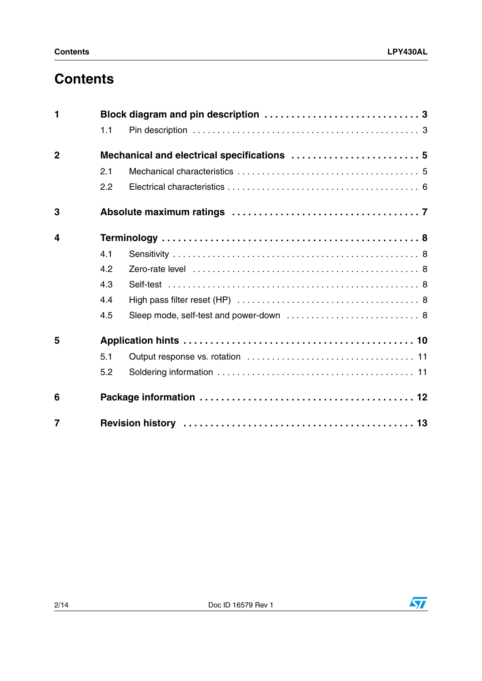## **Contents**

| 1              |     |                                             |
|----------------|-----|---------------------------------------------|
|                | 1.1 |                                             |
| $\overline{2}$ |     | Mechanical and electrical specifications  5 |
|                | 2.1 |                                             |
|                | 2.2 |                                             |
| 3              |     |                                             |
| 4              |     |                                             |
|                | 4.1 |                                             |
|                | 4.2 |                                             |
|                | 4.3 |                                             |
|                | 4.4 |                                             |
|                | 4.5 |                                             |
| 5              |     |                                             |
|                | 5.1 |                                             |
|                | 5.2 |                                             |
| 6              |     |                                             |
| $\overline{7}$ |     |                                             |

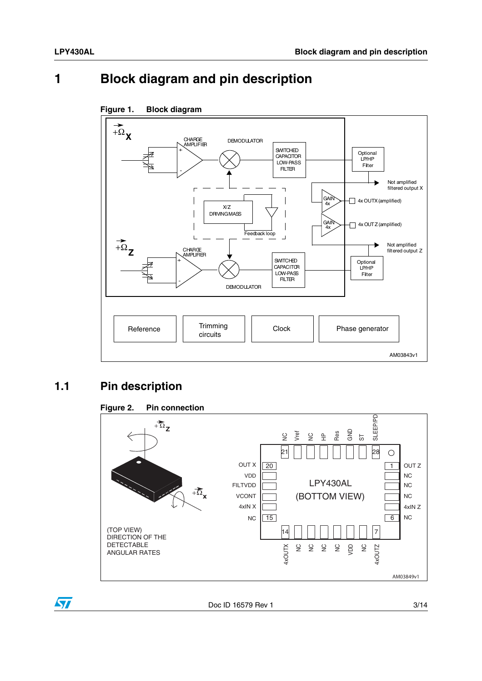### <span id="page-2-0"></span>**1 Block diagram and pin description**



#### **Figure 1. Block diagram**

### <span id="page-2-1"></span>**1.1 Pin description**



ST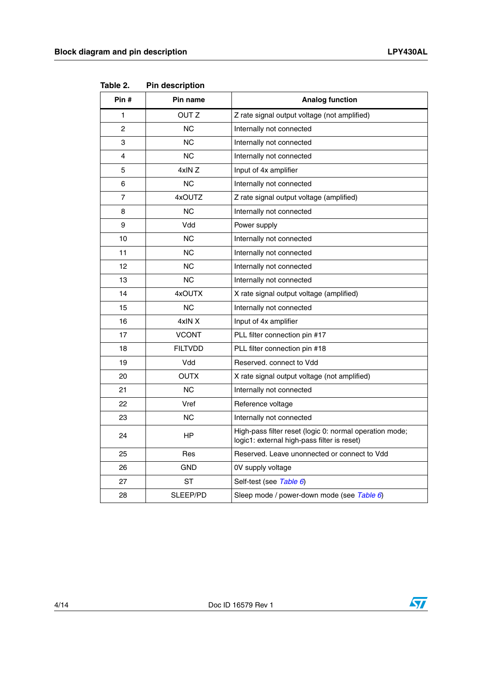| Pin # | Pin name         | <b>Analog function</b>                                                                                 |
|-------|------------------|--------------------------------------------------------------------------------------------------------|
| 1     | OUT <sub>Z</sub> | Z rate signal output voltage (not amplified)                                                           |
| 2     | ΝC               | Internally not connected                                                                               |
| 3     | <b>NC</b>        | Internally not connected                                                                               |
| 4     | ΝC               | Internally not connected                                                                               |
| 5     | 4xIN Z           | Input of 4x amplifier                                                                                  |
| 6     | <b>NC</b>        | Internally not connected                                                                               |
| 7     | 4xOUTZ           | Z rate signal output voltage (amplified)                                                               |
| 8     | <b>NC</b>        | Internally not connected                                                                               |
| 9     | Vdd              | Power supply                                                                                           |
| 10    | ΝC               | Internally not connected                                                                               |
| 11    | <b>NC</b>        | Internally not connected                                                                               |
| 12    | <b>NC</b>        | Internally not connected                                                                               |
| 13    | <b>NC</b>        | Internally not connected                                                                               |
| 14    | 4xOUTX           | X rate signal output voltage (amplified)                                                               |
| 15    | <b>NC</b>        | Internally not connected                                                                               |
| 16    | 4xIN X           | Input of 4x amplifier                                                                                  |
| 17    | <b>VCONT</b>     | PLL filter connection pin #17                                                                          |
| 18    | <b>FILTVDD</b>   | PLL filter connection pin #18                                                                          |
| 19    | Vdd              | Reserved, connect to Vdd                                                                               |
| 20    | <b>OUTX</b>      | X rate signal output voltage (not amplified)                                                           |
| 21    | <b>NC</b>        | Internally not connected                                                                               |
| 22    | Vref             | Reference voltage                                                                                      |
| 23    | <b>NC</b>        | Internally not connected                                                                               |
| 24    | HP               | High-pass filter reset (logic 0: normal operation mode;<br>logic1: external high-pass filter is reset) |
| 25    | Res              | Reserved. Leave unonnected or connect to Vdd                                                           |
| 26    | <b>GND</b>       | 0V supply voltage                                                                                      |
| 27    | SТ               | Self-test (see Table 6)                                                                                |
| 28    | SLEEP/PD         | Sleep mode / power-down mode (see Table 6)                                                             |

**Table 2. Pin description**



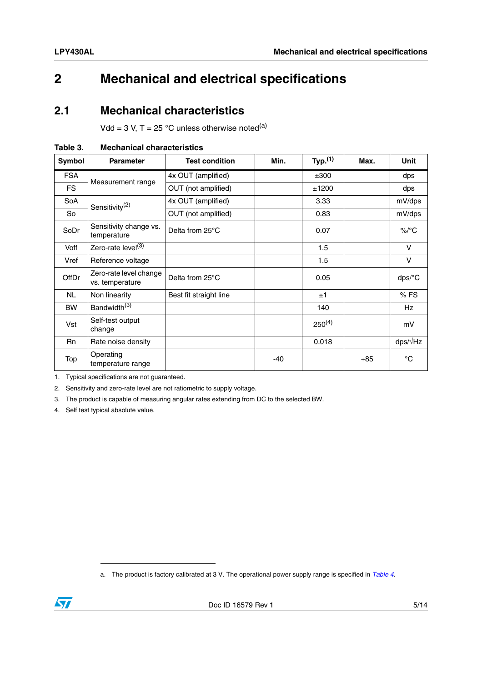### <span id="page-4-0"></span>**2 Mechanical and electrical specifications**

#### <span id="page-4-1"></span>**2.1 Mechanical characteristics**

Vdd = 3 V, T = 25 °C unless otherwise noted<sup>(a)</sup>

| Symbol       | <b>Parameter</b>                          | <b>Test condition</b>  | Min. | Typ. <sup>(1)</sup> | Max.  | <b>Unit</b>          |
|--------------|-------------------------------------------|------------------------|------|---------------------|-------|----------------------|
| <b>FSA</b>   | Measurement range                         | 4x OUT (amplified)     |      | ±300                |       | dps                  |
| <b>FS</b>    |                                           | OUT (not amplified)    |      | ±1200               |       | dps                  |
| SoA          | Sensitivity <sup>(2)</sup>                | 4x OUT (amplified)     |      | 3.33                |       | mV/dps               |
| So           |                                           | OUT (not amplified)    |      | 0.83                |       | mV/dps               |
| SoDr         | Sensitivity change vs.<br>temperature     | Delta from 25°C        |      | 0.07                |       | $\%$ /°C             |
| Voff         | Zero-rate level <sup>(3)</sup>            |                        |      | 1.5                 |       | $\mathsf{V}$         |
| Vref         | Reference voltage                         |                        |      | 1.5                 |       | $\vee$               |
| <b>OffDr</b> | Zero-rate level change<br>vs. temperature | Delta from 25°C        |      | 0.05                |       | $dps$ <sup>o</sup> C |
| <b>NL</b>    | Non linearity                             | Best fit straight line |      | ±1                  |       | %FS                  |
| <b>BW</b>    | Bandwidth <sup>(3)</sup>                  |                        |      | 140                 |       | <b>Hz</b>            |
| Vst          | Self-test output<br>change                |                        |      | $250^{(4)}$         |       | mV                   |
| <b>Rn</b>    | Rate noise density                        |                        |      | 0.018               |       | $dps/\sqrt{Hz}$      |
| Top          | Operating<br>temperature range            |                        | -40  |                     | $+85$ | $^{\circ}C$          |

<span id="page-4-2"></span>

| <b>Mechanical characteristics</b><br>Table 3. |
|-----------------------------------------------|
|-----------------------------------------------|

1. Typical specifications are not guaranteed.

2. Sensitivity and zero-rate level are not ratiometric to supply voltage.

3. The product is capable of measuring angular rates extending from DC to the selected BW.

4. Self test typical absolute value.

a. The product is factory calibrated at 3 V. The operational power supply range is specified in *[Table 4](#page-5-1)*.

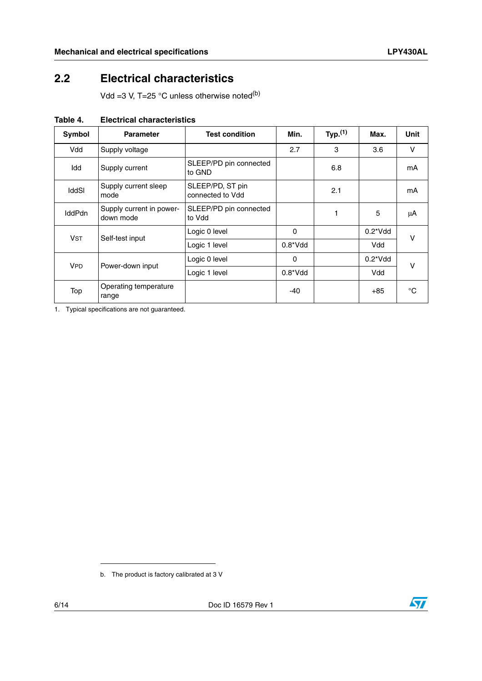### <span id="page-5-0"></span>**2.2 Electrical characteristics**

Vdd =3 V, T=25  $^{\circ}$ C unless otherwise noted<sup>(b)</sup>

| Symbol        | <b>Parameter</b>                      | <b>Test condition</b>                | Min.        | Typ. <sup>(1)</sup> | Max.             | Unit |
|---------------|---------------------------------------|--------------------------------------|-------------|---------------------|------------------|------|
| Vdd           | Supply voltage                        |                                      | 2.7         | 3                   | 3.6              | V    |
| Idd           | Supply current                        | SLEEP/PD pin connected<br>to GND     |             | 6.8                 |                  | mA   |
| <b>IddSI</b>  | Supply current sleep<br>mode          | SLEEP/PD, ST pin<br>connected to Vdd |             | 2.1                 |                  | mA   |
| <b>IddPdn</b> | Supply current in power-<br>down mode | SLEEP/PD pin connected<br>to Vdd     |             |                     | 5                | μA   |
| <b>VST</b>    | Self-test input                       | Logic 0 level                        | 0           |                     | $0.2^*V$ dd      | v    |
|               |                                       | Logic 1 level                        | $0.8^*V$ dd |                     | Vdd              |      |
| <b>VPD</b>    |                                       | Logic 0 level                        | 0           |                     | $0.2^{\ast}$ Vdd | v    |
|               | Power-down input                      | Logic 1 level                        | $0.8^*V$ dd |                     | Vdd              |      |
| Top           | Operating temperature<br>range        |                                      | $-40$       |                     | $+85$            | °C   |

<span id="page-5-1"></span>**Table 4. Electrical characteristics**

1. Typical specifications are not guaranteed.

b. The product is factory calibrated at 3 V

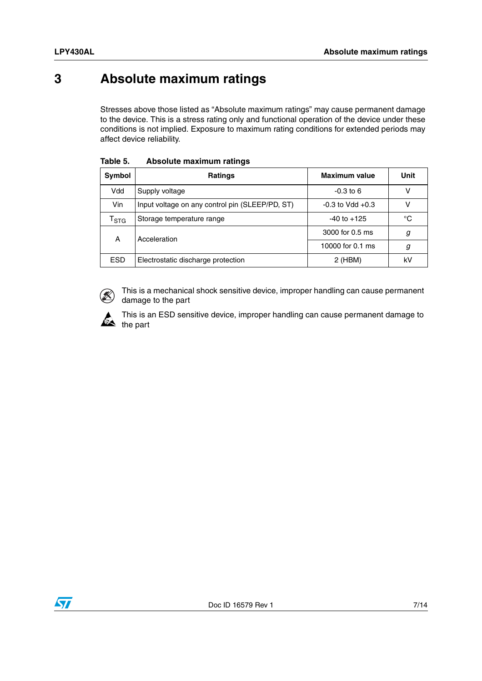### <span id="page-6-0"></span>**3 Absolute maximum ratings**

Stresses above those listed as "Absolute maximum ratings" may cause permanent damage to the device. This is a stress rating only and functional operation of the device under these conditions is not implied. Exposure to maximum rating conditions for extended periods may affect device reliability.

| Symbol           | <b>Ratings</b>                                  | <b>Maximum value</b> | Unit |
|------------------|-------------------------------------------------|----------------------|------|
| Vdd              | Supply voltage                                  | $-0.3$ to 6          | v    |
| Vin              | Input voltage on any control pin (SLEEP/PD, ST) | $-0.3$ to Vdd $+0.3$ | ٧    |
| $I_{\text{STG}}$ | Storage temperature range                       | $-40$ to $+125$      | °C   |
| Α                | Acceleration                                    | 3000 for 0.5 ms      | g    |
|                  |                                                 | 10000 for 0.1 ms     | g    |
| <b>ESD</b>       | Electrostatic discharge protection              | $2$ (HBM)            | kV   |

**Table 5. Absolute maximum ratings**



This is a mechanical shock sensitive device, improper handling can cause permanent damage to the part



This is an ESD sensitive device, improper handling can cause permanent damage to  $\triangleq$  the part

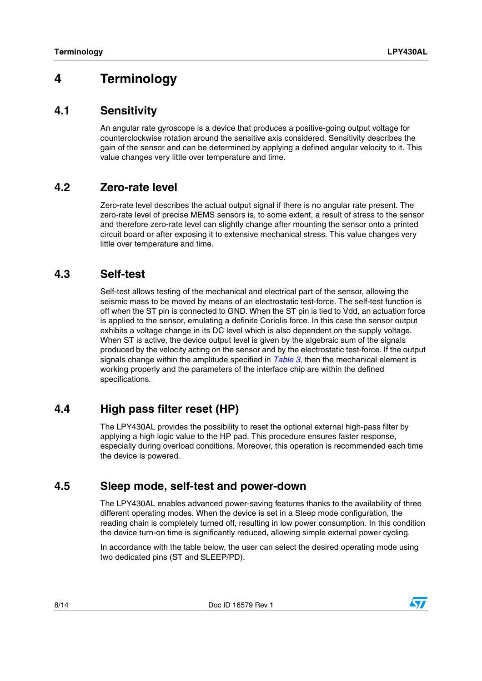### <span id="page-7-0"></span>**4 Terminology**

#### <span id="page-7-1"></span>**4.1 Sensitivity**

An angular rate gyroscope is a device that produces a positive-going output voltage for counterclockwise rotation around the sensitive axis considered. Sensitivity describes the gain of the sensor and can be determined by applying a defined angular velocity to it. This value changes very little over temperature and time.

#### <span id="page-7-2"></span>**4.2 Zero-rate level**

Zero-rate level describes the actual output signal if there is no angular rate present. The zero-rate level of precise MEMS sensors is, to some extent, a result of stress to the sensor and therefore zero-rate level can slightly change after mounting the sensor onto a printed circuit board or after exposing it to extensive mechanical stress. This value changes very little over temperature and time.

#### <span id="page-7-3"></span>**4.3 Self-test**

Self-test allows testing of the mechanical and electrical part of the sensor, allowing the seismic mass to be moved by means of an electrostatic test-force. The self-test function is off when the ST pin is connected to GND. When the ST pin is tied to Vdd, an actuation force is applied to the sensor, emulating a definite Coriolis force. In this case the sensor output exhibits a voltage change in its DC level which is also dependent on the supply voltage. When ST is active, the device output level is given by the algebraic sum of the signals produced by the velocity acting on the sensor and by the electrostatic test-force. If the output signals change within the amplitude specified in *[Table 3](#page-4-2)*, then the mechanical element is working properly and the parameters of the interface chip are within the defined specifications.

#### <span id="page-7-4"></span>**4.4 High pass filter reset (HP)**

The LPY430AL provides the possibility to reset the optional external high-pass filter by applying a high logic value to the HP pad. This procedure ensures faster response, especially during overload conditions. Moreover, this operation is recommended each time the device is powered.

#### <span id="page-7-5"></span>**4.5 Sleep mode, self-test and power-down**

The LPY430AL enables advanced power-saving features thanks to the availability of three different operating modes. When the device is set in a Sleep mode configuration, the reading chain is completely turned off, resulting in low power consumption. In this condition the device turn-on time is significantly reduced, allowing simple external power cycling.

In accordance with the table below, the user can select the desired operating mode using two dedicated pins (ST and SLEEP/PD).

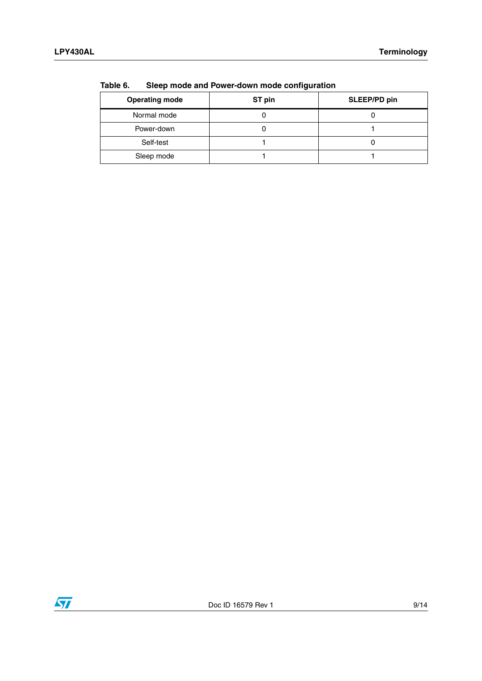| <b>Operating mode</b> | ST pin | SLEEP/PD pin |
|-----------------------|--------|--------------|
| Normal mode           |        |              |
| Power-down            |        |              |
| Self-test             |        |              |
| Sleep mode            |        |              |

<span id="page-8-0"></span>**Table 6. Sleep mode and Power-down mode configuration**

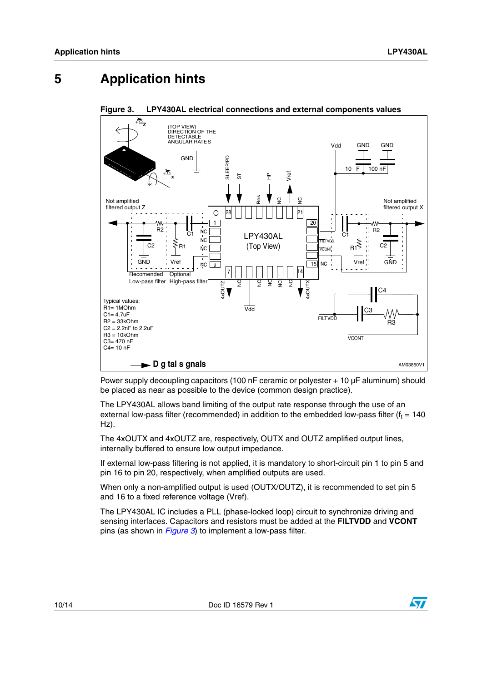### <span id="page-9-0"></span>**5 Application hints**



<span id="page-9-1"></span>**Figure 3. LPY430AL electrical connections and external components values**

Power supply decoupling capacitors (100 nF ceramic or polyester + 10 µF aluminum) should be placed as near as possible to the device (common design practice).

The LPY430AL allows band limiting of the output rate response through the use of an external low-pass filter (recommended) in addition to the embedded low-pass filter (f $_{\rm t}$  = 140 Hz).

The 4xOUTX and 4xOUTZ are, respectively, OUTX and OUTZ amplified output lines, internally buffered to ensure low output impedance.

If external low-pass filtering is not applied, it is mandatory to short-circuit pin 1 to pin 5 and pin 16 to pin 20, respectively, when amplified outputs are used.

When only a non-amplified output is used (OUTX/OUTZ), it is recommended to set pin 5 and 16 to a fixed reference voltage (Vref).

The LPY430AL IC includes a PLL (phase-locked loop) circuit to synchronize driving and sensing interfaces. Capacitors and resistors must be added at the **FILTVDD** and **VCONT** pins (as shown in *[Figure 3](#page-9-1)*) to implement a low-pass filter.

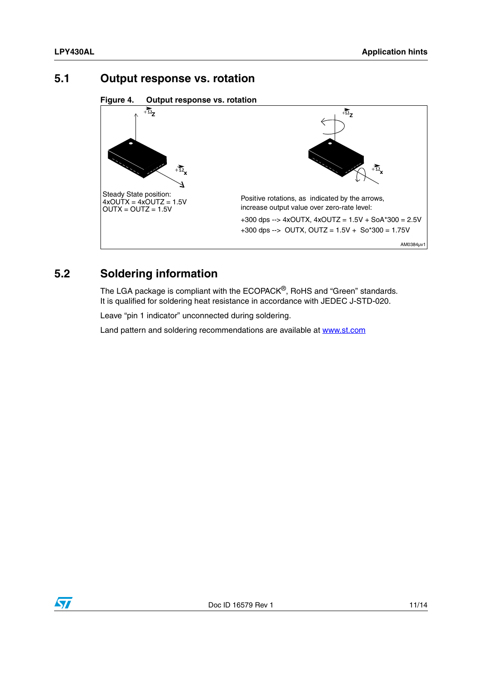#### <span id="page-10-0"></span>**5.1 Output response vs. rotation**

**Figure 4. Output response vs. rotation**



### <span id="page-10-1"></span>**5.2 Soldering information**

The LGA package is compliant with the ECOPACK®, RoHS and "Green" standards. It is qualified for soldering heat resistance in accordance with JEDEC J-STD-020.

Leave "pin 1 indicator" unconnected during soldering.

Land pattern and soldering recommendations are available at www.st.com

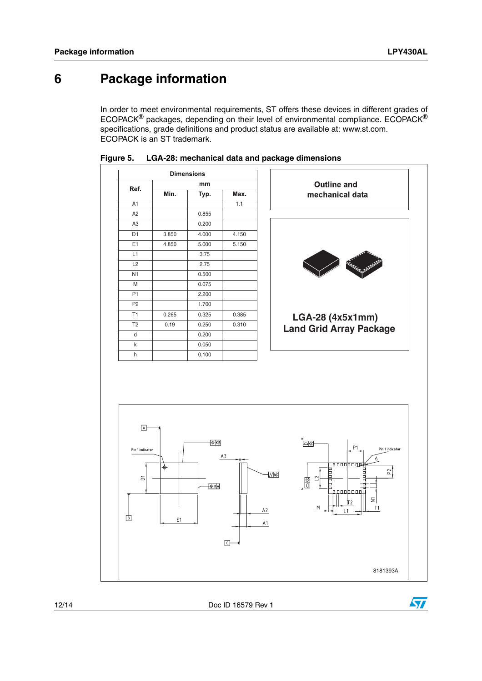### <span id="page-11-0"></span>**6 Package information**

In order to meet environmental requirements, ST offers these devices in different grades of ECOPACK® packages, depending on their level of environmental compliance. ECOPACK® specifications, grade definitions and product status are available at: www.st.com. ECOPACK is an ST trademark.



#### **Figure 5. LGA-28: mechanical data and package dimensions**



12/14 Doc ID 16579 Rev 1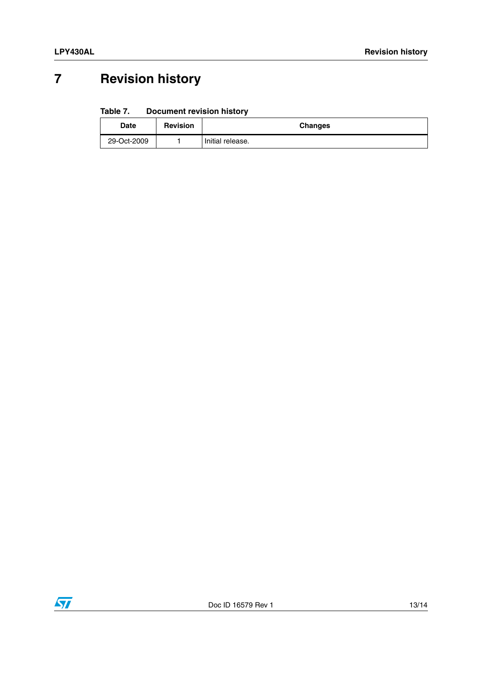## <span id="page-12-0"></span>**7 Revision history**

#### Table 7. **Document revision history**

| Date        | <b>Revision</b> | <b>Changes</b>   |
|-------------|-----------------|------------------|
| 29-Oct-2009 |                 | Initial release. |